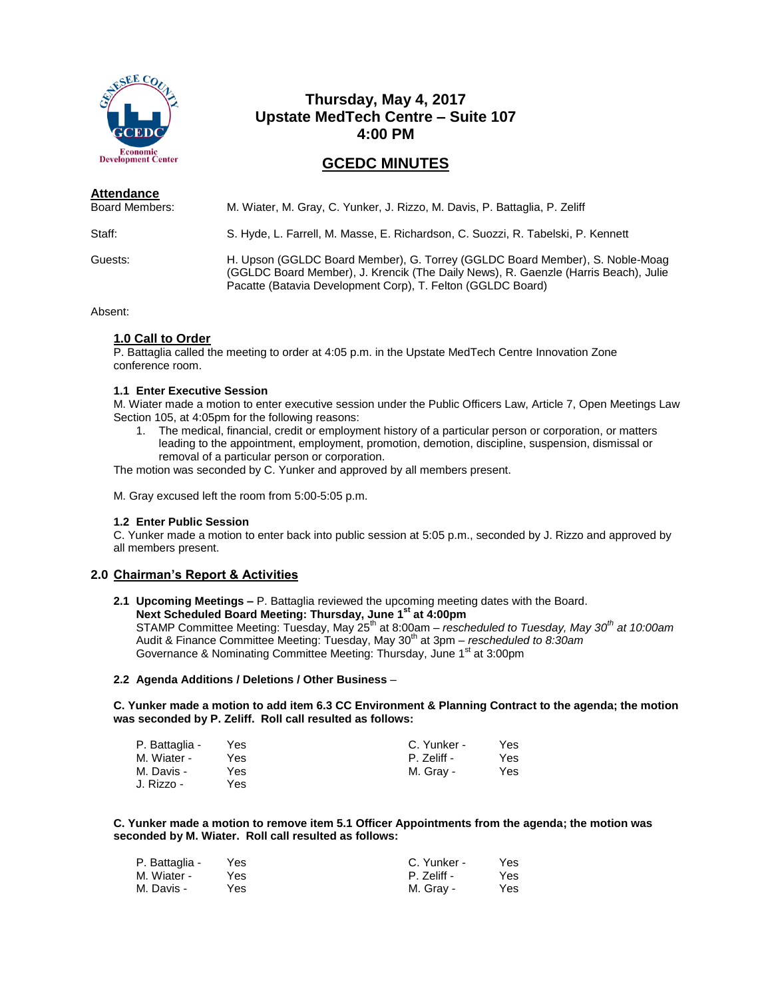

# **Thursday, May 4, 2017 Upstate MedTech Centre – Suite 107 4:00 PM**

# **GCEDC MINUTES**

| Attendance<br>Board Members: | M. Wiater, M. Gray, C. Yunker, J. Rizzo, M. Davis, P. Battaglia, P. Zeliff                                                                                                                                                         |
|------------------------------|------------------------------------------------------------------------------------------------------------------------------------------------------------------------------------------------------------------------------------|
| Staff:                       | S. Hyde, L. Farrell, M. Masse, E. Richardson, C. Suozzi, R. Tabelski, P. Kennett                                                                                                                                                   |
| Guests:                      | H. Upson (GGLDC Board Member), G. Torrey (GGLDC Board Member), S. Noble-Moag<br>(GGLDC Board Member), J. Krencik (The Daily News), R. Gaenzle (Harris Beach), Julie<br>Pacatte (Batavia Development Corp), T. Felton (GGLDC Board) |

Absent:

## **1.0 Call to Order**

P. Battaglia called the meeting to order at 4:05 p.m. in the Upstate MedTech Centre Innovation Zone conference room.

## **1.1 Enter Executive Session**

M. Wiater made a motion to enter executive session under the Public Officers Law, Article 7, Open Meetings Law Section 105, at 4:05pm for the following reasons:

1. The medical, financial, credit or employment history of a particular person or corporation, or matters leading to the appointment, employment, promotion, demotion, discipline, suspension, dismissal or removal of a particular person or corporation.

The motion was seconded by C. Yunker and approved by all members present.

M. Gray excused left the room from 5:00-5:05 p.m.

## **1.2 Enter Public Session**

C. Yunker made a motion to enter back into public session at 5:05 p.m., seconded by J. Rizzo and approved by all members present.

## **2.0 Chairman's Report & Activities**

**2.1 Upcoming Meetings –** P. Battaglia reviewed the upcoming meeting dates with the Board.

**Next Scheduled Board Meeting: Thursday, June 1st at 4:00pm** STAMP Committee Meeting: Tuesday, May 25th at 8:00am – *rescheduled to Tuesday, May 30th at 10:00am* Audit & Finance Committee Meeting: Tuesday, May 30<sup>th</sup> at 3pm – *rescheduled to 8:30am* Governance & Nominating Committee Meeting: Thursday, June 1<sup>st</sup> at 3:00pm

## **2.2 Agenda Additions / Deletions / Other Business** –

**C. Yunker made a motion to add item 6.3 CC Environment & Planning Contract to the agenda; the motion was seconded by P. Zeliff. Roll call resulted as follows:**

| P. Battaglia - | Yes | C. Yunker - | Yes. |
|----------------|-----|-------------|------|
| M. Wiater -    | Yes | P. Zeliff - | Yes  |
| M. Davis -     | Yes | M. Gray -   | Yes  |
| J. Rizzo -     | Yes |             |      |

**C. Yunker made a motion to remove item 5.1 Officer Appointments from the agenda; the motion was seconded by M. Wiater. Roll call resulted as follows:**

| P. Battaglia - | Yes | C. Yunker - | Yes |
|----------------|-----|-------------|-----|
| M. Wiater -    | Yes | P. Zeliff - | Yes |
| M. Davis -     | Yes | M. Gray -   | Yes |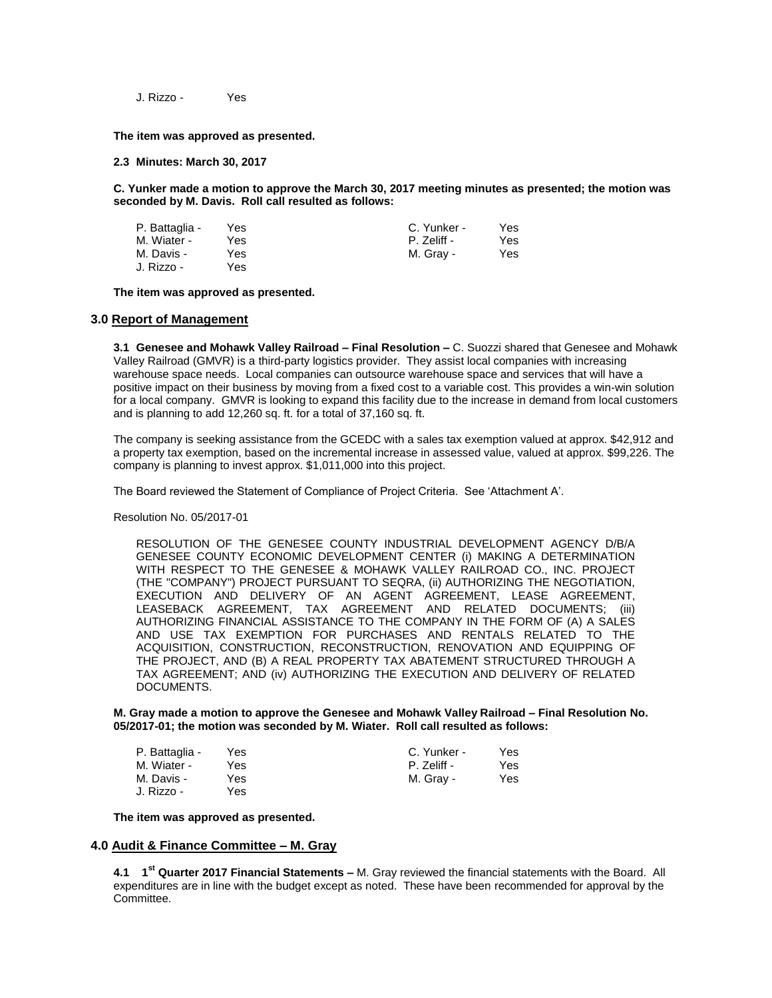J. Rizzo - Yes

**The item was approved as presented.**

**2.3 Minutes: March 30, 2017**

**C. Yunker made a motion to approve the March 30, 2017 meeting minutes as presented; the motion was seconded by M. Davis. Roll call resulted as follows:**

| P. Battaglia - | Yes | C. Yunker - | Yes. |
|----------------|-----|-------------|------|
| M. Wiater -    | Yes | P. Zeliff - | Yes. |
| M. Davis -     | Yes | M. Gray -   | Yes  |
| J. Rizzo -     | Yes |             |      |

**The item was approved as presented.**

#### **3.0 Report of Management**

**3.1 Genesee and Mohawk Valley Railroad – Final Resolution –** C. Suozzi shared that Genesee and Mohawk Valley Railroad (GMVR) is a third-party logistics provider. They assist local companies with increasing warehouse space needs. Local companies can outsource warehouse space and services that will have a positive impact on their business by moving from a fixed cost to a variable cost. This provides a win-win solution for a local company. GMVR is looking to expand this facility due to the increase in demand from local customers and is planning to add 12,260 sq. ft. for a total of 37,160 sq. ft.

The company is seeking assistance from the GCEDC with a sales tax exemption valued at approx. \$42,912 and a property tax exemption, based on the incremental increase in assessed value, valued at approx. \$99,226. The company is planning to invest approx. \$1,011,000 into this project.

The Board reviewed the Statement of Compliance of Project Criteria. See 'Attachment A'.

Resolution No. 05/2017-01

RESOLUTION OF THE GENESEE COUNTY INDUSTRIAL DEVELOPMENT AGENCY D/B/A GENESEE COUNTY ECONOMIC DEVELOPMENT CENTER (i) MAKING A DETERMINATION WITH RESPECT TO THE GENESEE & MOHAWK VALLEY RAILROAD CO., INC. PROJECT (THE "COMPANY") PROJECT PURSUANT TO SEQRA, (ii) AUTHORIZING THE NEGOTIATION, EXECUTION AND DELIVERY OF AN AGENT AGREEMENT, LEASE AGREEMENT, LEASEBACK AGREEMENT, TAX AGREEMENT AND RELATED DOCUMENTS; (iii) AUTHORIZING FINANCIAL ASSISTANCE TO THE COMPANY IN THE FORM OF (A) A SALES AND USE TAX EXEMPTION FOR PURCHASES AND RENTALS RELATED TO THE ACQUISITION, CONSTRUCTION, RECONSTRUCTION, RENOVATION AND EQUIPPING OF THE PROJECT, AND (B) A REAL PROPERTY TAX ABATEMENT STRUCTURED THROUGH A TAX AGREEMENT; AND (iv) AUTHORIZING THE EXECUTION AND DELIVERY OF RELATED DOCUMENTS.

**M. Gray made a motion to approve the Genesee and Mohawk Valley Railroad – Final Resolution No. 05/2017-01; the motion was seconded by M. Wiater. Roll call resulted as follows:**

| P. Battaglia - | Yes  | C. Yunker - | Yes |
|----------------|------|-------------|-----|
| M. Wiater -    | Yes  | P. Zeliff - | Yes |
| M. Davis -     | Yes. | M. Gray -   | Yes |
| J. Rizzo -     | Yes. |             |     |

**The item was approved as presented.**

## **4.0 Audit & Finance Committee – M. Gray**

**4.1 1 st Quarter 2017 Financial Statements –** M. Gray reviewed the financial statements with the Board. All expenditures are in line with the budget except as noted. These have been recommended for approval by the Committee.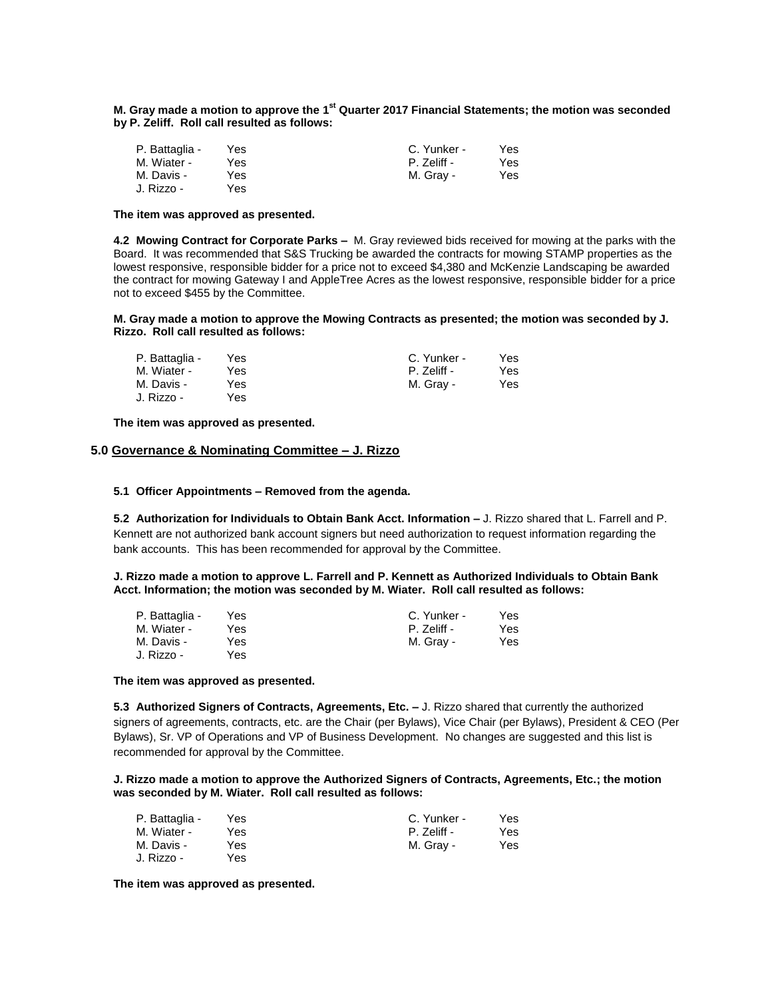### **M. Gray made a motion to approve the 1<sup>st</sup> Quarter 2017 Financial Statements; the motion was seconded by P. Zeliff. Roll call resulted as follows:**

| P. Battaglia - | Yes. | C. Yunker - | Yes. |
|----------------|------|-------------|------|
| M. Wiater -    | Yes  | P. Zeliff - | Yes. |
| M. Davis -     | Yes  | M. Gray -   | Yes  |
| J. Rizzo -     | Yes  |             |      |

#### **The item was approved as presented.**

**4.2 Mowing Contract for Corporate Parks –** M. Gray reviewed bids received for mowing at the parks with the Board. It was recommended that S&S Trucking be awarded the contracts for mowing STAMP properties as the lowest responsive, responsible bidder for a price not to exceed \$4,380 and McKenzie Landscaping be awarded the contract for mowing Gateway I and AppleTree Acres as the lowest responsive, responsible bidder for a price not to exceed \$455 by the Committee.

#### **M. Gray made a motion to approve the Mowing Contracts as presented; the motion was seconded by J. Rizzo. Roll call resulted as follows:**

| P. Battaglia - | Yes. | C. Yunker - | Yes. |
|----------------|------|-------------|------|
| M. Wiater -    | Yes  | P. Zeliff - | Yes. |
| M. Davis -     | Yes  | M. Gray -   | Yes  |
| J. Rizzo -     | Yes. |             |      |

**The item was approved as presented.**

## **5.0 Governance & Nominating Committee – J. Rizzo**

### **5.1 Officer Appointments – Removed from the agenda.**

**5.2 Authorization for Individuals to Obtain Bank Acct. Information –** J. Rizzo shared that L. Farrell and P. Kennett are not authorized bank account signers but need authorization to request information regarding the bank accounts. This has been recommended for approval by the Committee.

**J. Rizzo made a motion to approve L. Farrell and P. Kennett as Authorized Individuals to Obtain Bank Acct. Information; the motion was seconded by M. Wiater. Roll call resulted as follows:**

| P. Battaglia - | Yes | C. Yunker - | Yes |
|----------------|-----|-------------|-----|
| M. Wiater -    | Yes | P. Zeliff - | Yes |
| M. Davis -     | Yes | M. Gray -   | Yes |
| J. Rizzo -     | Yes |             |     |

#### **The item was approved as presented.**

**5.3 Authorized Signers of Contracts, Agreements, Etc. –** J. Rizzo shared that currently the authorized signers of agreements, contracts, etc. are the Chair (per Bylaws), Vice Chair (per Bylaws), President & CEO (Per Bylaws), Sr. VP of Operations and VP of Business Development. No changes are suggested and this list is recommended for approval by the Committee.

### **J. Rizzo made a motion to approve the Authorized Signers of Contracts, Agreements, Etc.; the motion was seconded by M. Wiater. Roll call resulted as follows:**

| P. Battaglia - | Yes | C. Yunker - | Yes |
|----------------|-----|-------------|-----|
| M. Wiater -    | Yes | P. Zeliff - | Yes |
| M. Davis -     | Yes | M. Gray -   | Yes |
| J. Rizzo -     | Yes |             |     |

**The item was approved as presented.**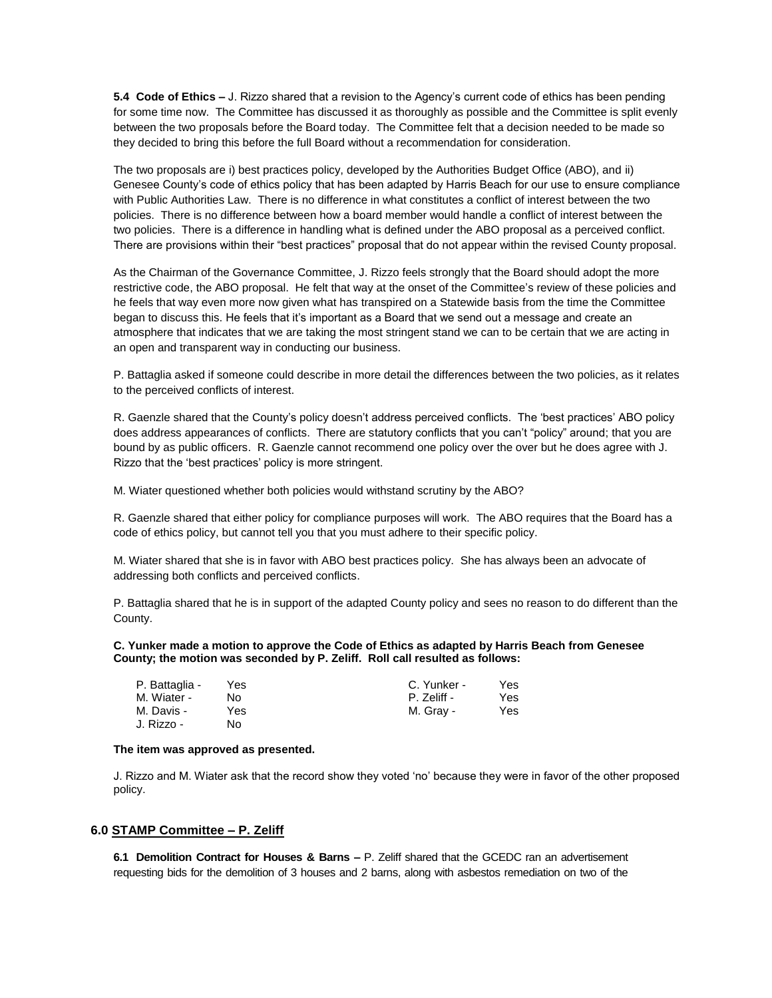**5.4 Code of Ethics –** J. Rizzo shared that a revision to the Agency's current code of ethics has been pending for some time now. The Committee has discussed it as thoroughly as possible and the Committee is split evenly between the two proposals before the Board today. The Committee felt that a decision needed to be made so they decided to bring this before the full Board without a recommendation for consideration.

The two proposals are i) best practices policy, developed by the Authorities Budget Office (ABO), and ii) Genesee County's code of ethics policy that has been adapted by Harris Beach for our use to ensure compliance with Public Authorities Law. There is no difference in what constitutes a conflict of interest between the two policies. There is no difference between how a board member would handle a conflict of interest between the two policies. There is a difference in handling what is defined under the ABO proposal as a perceived conflict. There are provisions within their "best practices" proposal that do not appear within the revised County proposal.

As the Chairman of the Governance Committee, J. Rizzo feels strongly that the Board should adopt the more restrictive code, the ABO proposal. He felt that way at the onset of the Committee's review of these policies and he feels that way even more now given what has transpired on a Statewide basis from the time the Committee began to discuss this. He feels that it's important as a Board that we send out a message and create an atmosphere that indicates that we are taking the most stringent stand we can to be certain that we are acting in an open and transparent way in conducting our business.

P. Battaglia asked if someone could describe in more detail the differences between the two policies, as it relates to the perceived conflicts of interest.

R. Gaenzle shared that the County's policy doesn't address perceived conflicts. The 'best practices' ABO policy does address appearances of conflicts. There are statutory conflicts that you can't "policy" around; that you are bound by as public officers. R. Gaenzle cannot recommend one policy over the over but he does agree with J. Rizzo that the 'best practices' policy is more stringent.

M. Wiater questioned whether both policies would withstand scrutiny by the ABO?

R. Gaenzle shared that either policy for compliance purposes will work. The ABO requires that the Board has a code of ethics policy, but cannot tell you that you must adhere to their specific policy.

M. Wiater shared that she is in favor with ABO best practices policy. She has always been an advocate of addressing both conflicts and perceived conflicts.

P. Battaglia shared that he is in support of the adapted County policy and sees no reason to do different than the County.

### **C. Yunker made a motion to approve the Code of Ethics as adapted by Harris Beach from Genesee County; the motion was seconded by P. Zeliff. Roll call resulted as follows:**

| P. Battaglia - | Yes. | C. Yunker - | Yes. |
|----------------|------|-------------|------|
| M. Wiater -    | N٥   | P. Zeliff - | Yes  |
| M. Davis -     | Yes  | M. Gray -   | Yes  |
| .J. Rizzo -    | N٥   |             |      |

#### **The item was approved as presented.**

J. Rizzo and M. Wiater ask that the record show they voted 'no' because they were in favor of the other proposed policy.

## **6.0 STAMP Committee – P. Zeliff**

**6.1 Demolition Contract for Houses & Barns –** P. Zeliff shared that the GCEDC ran an advertisement requesting bids for the demolition of 3 houses and 2 barns, along with asbestos remediation on two of the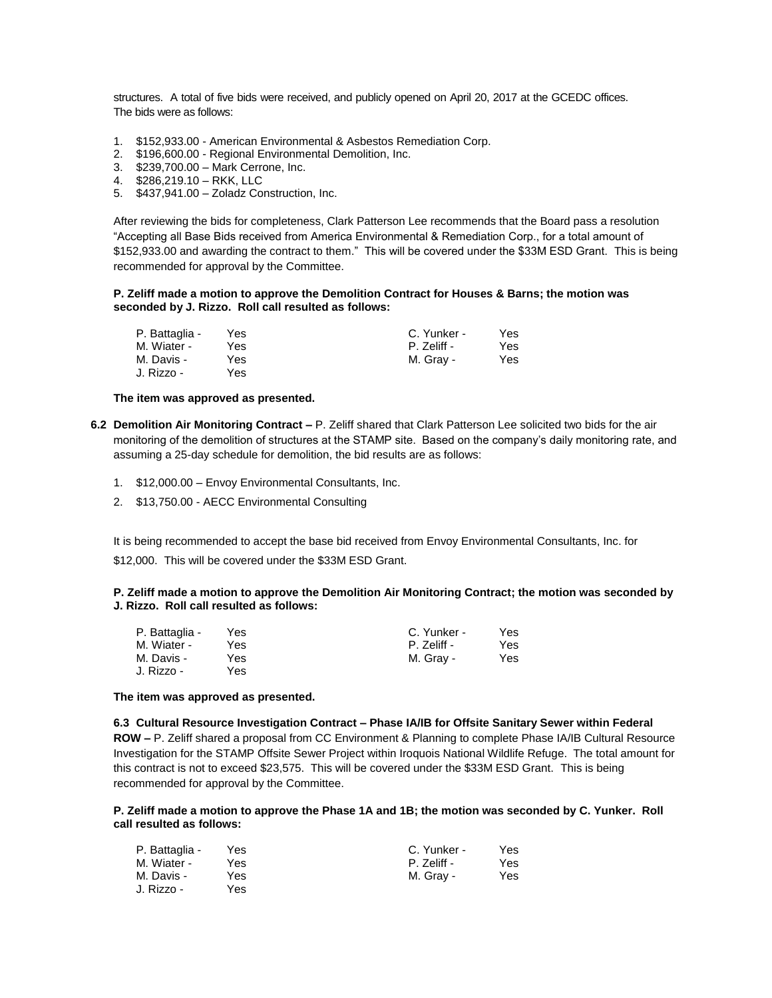structures. A total of five bids were received, and publicly opened on April 20, 2017 at the GCEDC offices. The bids were as follows:

- 1. \$152,933.00 American Environmental & Asbestos Remediation Corp.
- 2. \$196,600.00 Regional Environmental Demolition, Inc.
- 3. \$239,700.00 Mark Cerrone, Inc.
- 4. \$286,219.10 RKK, LLC
- 5. \$437,941.00 Zoladz Construction, Inc.

After reviewing the bids for completeness, Clark Patterson Lee recommends that the Board pass a resolution "Accepting all Base Bids received from America Environmental & Remediation Corp., for a total amount of \$152,933.00 and awarding the contract to them." This will be covered under the \$33M ESD Grant. This is being recommended for approval by the Committee.

#### **P. Zeliff made a motion to approve the Demolition Contract for Houses & Barns; the motion was seconded by J. Rizzo. Roll call resulted as follows:**

| P. Battaglia - | Yes | C. Yunker - | Yes  |
|----------------|-----|-------------|------|
| M. Wiater -    | Yes | P. Zeliff - | Yes  |
| M. Davis -     | Yes | M. Gray -   | Yes. |
| J. Rizzo -     | Yes |             |      |

#### **The item was approved as presented.**

- **6.2 Demolition Air Monitoring Contract –** P. Zeliff shared that Clark Patterson Lee solicited two bids for the air monitoring of the demolition of structures at the STAMP site. Based on the company's daily monitoring rate, and assuming a 25-day schedule for demolition, the bid results are as follows:
	- 1. \$12,000.00 Envoy Environmental Consultants, Inc.
	- 2. \$13,750.00 AECC Environmental Consulting

It is being recommended to accept the base bid received from Envoy Environmental Consultants, Inc. for

\$12,000. This will be covered under the \$33M ESD Grant.

### **P. Zeliff made a motion to approve the Demolition Air Monitoring Contract; the motion was seconded by J. Rizzo. Roll call resulted as follows:**

| P. Battaglia - | Yes. | C. Yunker - | Yes |
|----------------|------|-------------|-----|
| M. Wiater -    | Yes. | P. Zeliff - | Yes |
| M. Davis -     | Yes  | M. Gray -   | Yes |
| J. Rizzo -     | Yes. |             |     |

#### **The item was approved as presented.**

## **6.3 Cultural Resource Investigation Contract – Phase IA/IB for Offsite Sanitary Sewer within Federal**

**ROW –** P. Zeliff shared a proposal from CC Environment & Planning to complete Phase IA/IB Cultural Resource Investigation for the STAMP Offsite Sewer Project within Iroquois National Wildlife Refuge. The total amount for this contract is not to exceed \$23,575. This will be covered under the \$33M ESD Grant. This is being recommended for approval by the Committee.

### **P. Zeliff made a motion to approve the Phase 1A and 1B; the motion was seconded by C. Yunker. Roll call resulted as follows:**

| P. Battaglia - | Yes  | C. Yunker - | Yes |
|----------------|------|-------------|-----|
| M. Wiater -    | Yes  | P. Zeliff - | Yes |
| M. Davis -     | Yes  | M. Grav -   | Yes |
| J. Rizzo -     | Yes. |             |     |